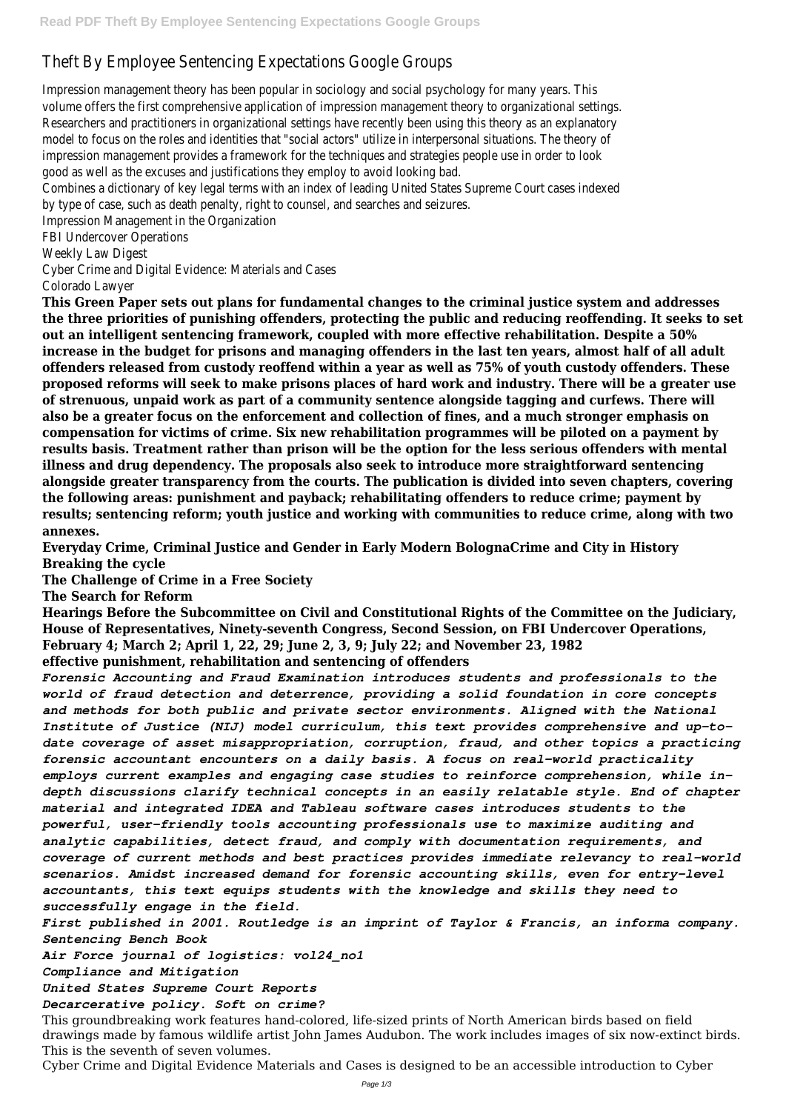## Theft By Employee Sentencing Expectations Google Groups

Impression management theory has been popular in sociology and social psychology for many years. The volume offers the first comprehensive application of impression management theory to organizational setting Researchers and practitioners in organizational settings have recently been using this theory as an explanatory model to focus on the roles and identities that "social actors" utilize in interpersonal situations. The theory of impression management provides a framework for the techniques and strategies people use in order to look good as well as the excuses and justifications they employ to avoid looking bad.

Combines a dictionary of key legal terms with an index of leading United States Supreme Court cases indexed by type of case, such as death penalty, right to counsel, and searches and seizures.

Impression Management in the Organization

FBI Undercover Operations

Weekly Law Digest

Cyber Crime and Digital Evidence: Materials and Cases

Colorado Lawyer

**This Green Paper sets out plans for fundamental changes to the criminal justice system and addresses the three priorities of punishing offenders, protecting the public and reducing reoffending. It seeks to set out an intelligent sentencing framework, coupled with more effective rehabilitation. Despite a 50% increase in the budget for prisons and managing offenders in the last ten years, almost half of all adult offenders released from custody reoffend within a year as well as 75% of youth custody offenders. These proposed reforms will seek to make prisons places of hard work and industry. There will be a greater use of strenuous, unpaid work as part of a community sentence alongside tagging and curfews. There will also be a greater focus on the enforcement and collection of fines, and a much stronger emphasis on compensation for victims of crime. Six new rehabilitation programmes will be piloted on a payment by results basis. Treatment rather than prison will be the option for the less serious offenders with mental illness and drug dependency. The proposals also seek to introduce more straightforward sentencing alongside greater transparency from the courts. The publication is divided into seven chapters, covering the following areas: punishment and payback; rehabilitating offenders to reduce crime; payment by results; sentencing reform; youth justice and working with communities to reduce crime, along with two annexes.**

**Everyday Crime, Criminal Justice and Gender in Early Modern BolognaCrime and City in History Breaking the cycle**

**The Challenge of Crime in a Free Society**

**The Search for Reform**

**Hearings Before the Subcommittee on Civil and Constitutional Rights of the Committee on the Judiciary, House of Representatives, Ninety-seventh Congress, Second Session, on FBI Undercover Operations, February 4; March 2; April 1, 22, 29; June 2, 3, 9; July 22; and November 23, 1982 effective punishment, rehabilitation and sentencing of offenders**

*Forensic Accounting and Fraud Examination introduces students and professionals to the world of fraud detection and deterrence, providing a solid foundation in core concepts and methods for both public and private sector environments. Aligned with the National Institute of Justice (NIJ) model curriculum, this text provides comprehensive and up-todate coverage of asset misappropriation, corruption, fraud, and other topics a practicing forensic accountant encounters on a daily basis. A focus on real-world practicality employs current examples and engaging case studies to reinforce comprehension, while indepth discussions clarify technical concepts in an easily relatable style. End of chapter material and integrated IDEA and Tableau software cases introduces students to the powerful, user-friendly tools accounting professionals use to maximize auditing and analytic capabilities, detect fraud, and comply with documentation requirements, and coverage of current methods and best practices provides immediate relevancy to real-world scenarios. Amidst increased demand for forensic accounting skills, even for entry-level accountants, this text equips students with the knowledge and skills they need to successfully engage in the field. First published in 2001. Routledge is an imprint of Taylor & Francis, an informa company.*

*Sentencing Bench Book*

```
Air Force journal of logistics: vol24_no1
```
*Compliance and Mitigation*

*United States Supreme Court Reports*

*Decarcerative policy. Soft on crime?*

This groundbreaking work features hand-colored, life-sized prints of North American birds based on field drawings made by famous wildlife artist John James Audubon. The work includes images of six now-extinct birds. This is the seventh of seven volumes.

Cyber Crime and Digital Evidence Materials and Cases is designed to be an accessible introduction to Cyber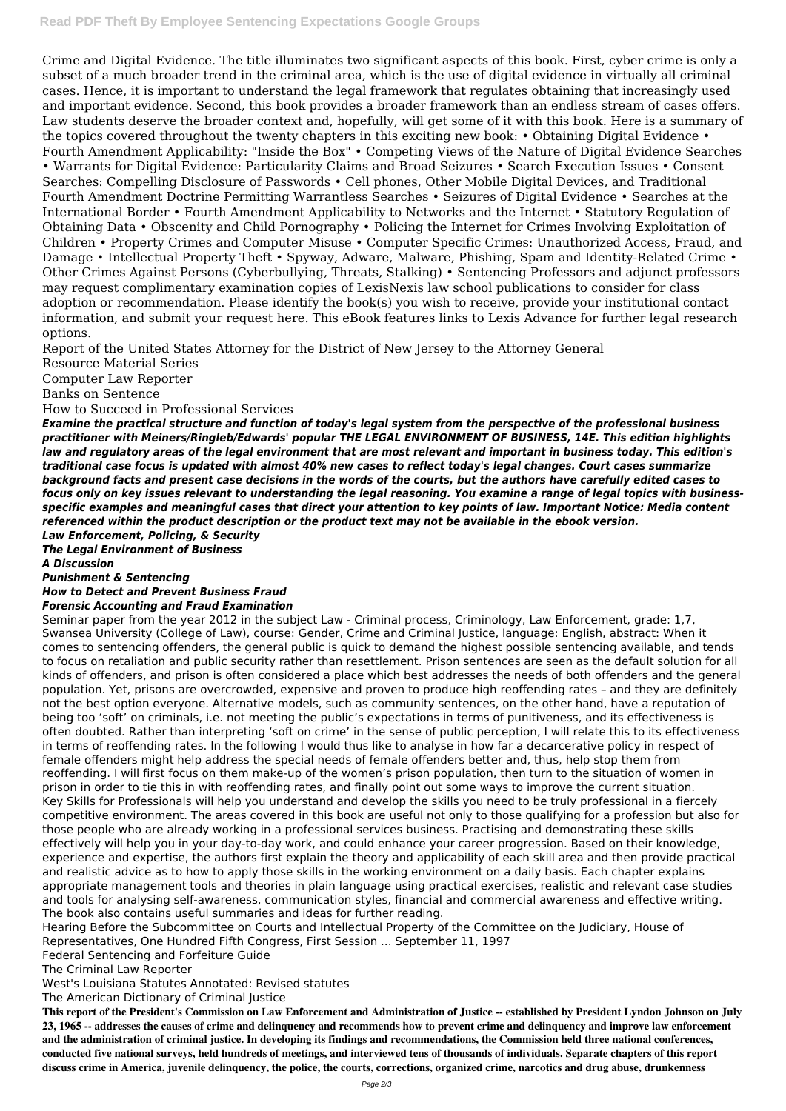Crime and Digital Evidence. The title illuminates two significant aspects of this book. First, cyber crime is only a subset of a much broader trend in the criminal area, which is the use of digital evidence in virtually all criminal cases. Hence, it is important to understand the legal framework that regulates obtaining that increasingly used and important evidence. Second, this book provides a broader framework than an endless stream of cases offers. Law students deserve the broader context and, hopefully, will get some of it with this book. Here is a summary of the topics covered throughout the twenty chapters in this exciting new book: • Obtaining Digital Evidence • Fourth Amendment Applicability: "Inside the Box" • Competing Views of the Nature of Digital Evidence Searches • Warrants for Digital Evidence: Particularity Claims and Broad Seizures • Search Execution Issues • Consent Searches: Compelling Disclosure of Passwords • Cell phones, Other Mobile Digital Devices, and Traditional Fourth Amendment Doctrine Permitting Warrantless Searches • Seizures of Digital Evidence • Searches at the International Border • Fourth Amendment Applicability to Networks and the Internet • Statutory Regulation of Obtaining Data • Obscenity and Child Pornography • Policing the Internet for Crimes Involving Exploitation of Children • Property Crimes and Computer Misuse • Computer Specific Crimes: Unauthorized Access, Fraud, and Damage • Intellectual Property Theft • Spyway, Adware, Malware, Phishing, Spam and Identity-Related Crime • Other Crimes Against Persons (Cyberbullying, Threats, Stalking) • Sentencing Professors and adjunct professors may request complimentary examination copies of LexisNexis law school publications to consider for class adoption or recommendation. Please identify the book(s) you wish to receive, provide your institutional contact information, and submit your request here. This eBook features links to Lexis Advance for further legal research options.

Report of the United States Attorney for the District of New Jersey to the Attorney General

Resource Material Series

Computer Law Reporter

Banks on Sentence

How to Succeed in Professional Services

*Examine the practical structure and function of today's legal system from the perspective of the professional business practitioner with Meiners/Ringleb/Edwards' popular THE LEGAL ENVIRONMENT OF BUSINESS, 14E. This edition highlights law and regulatory areas of the legal environment that are most relevant and important in business today. This edition's traditional case focus is updated with almost 40% new cases to reflect today's legal changes. Court cases summarize background facts and present case decisions in the words of the courts, but the authors have carefully edited cases to focus only on key issues relevant to understanding the legal reasoning. You examine a range of legal topics with businessspecific examples and meaningful cases that direct your attention to key points of law. Important Notice: Media content referenced within the product description or the product text may not be available in the ebook version.*

*Law Enforcement, Policing, & Security*

*The Legal Environment of Business*

*A Discussion*

*Punishment & Sentencing*

*How to Detect and Prevent Business Fraud*

## *Forensic Accounting and Fraud Examination*

Seminar paper from the year 2012 in the subject Law - Criminal process, Criminology, Law Enforcement, grade: 1,7, Swansea University (College of Law), course: Gender, Crime and Criminal Justice, language: English, abstract: When it comes to sentencing offenders, the general public is quick to demand the highest possible sentencing available, and tends to focus on retaliation and public security rather than resettlement. Prison sentences are seen as the default solution for all kinds of offenders, and prison is often considered a place which best addresses the needs of both offenders and the general population. Yet, prisons are overcrowded, expensive and proven to produce high reoffending rates – and they are definitely not the best option everyone. Alternative models, such as community sentences, on the other hand, have a reputation of being too 'soft' on criminals, i.e. not meeting the public's expectations in terms of punitiveness, and its effectiveness is often doubted. Rather than interpreting 'soft on crime' in the sense of public perception, I will relate this to its effectiveness in terms of reoffending rates. In the following I would thus like to analyse in how far a decarcerative policy in respect of female offenders might help address the special needs of female offenders better and, thus, help stop them from reoffending. I will first focus on them make-up of the women's prison population, then turn to the situation of women in prison in order to tie this in with reoffending rates, and finally point out some ways to improve the current situation. Key Skills for Professionals will help you understand and develop the skills you need to be truly professional in a fiercely competitive environment. The areas covered in this book are useful not only to those qualifying for a profession but also for those people who are already working in a professional services business. Practising and demonstrating these skills effectively will help you in your day-to-day work, and could enhance your career progression. Based on their knowledge, experience and expertise, the authors first explain the theory and applicability of each skill area and then provide practical and realistic advice as to how to apply those skills in the working environment on a daily basis. Each chapter explains appropriate management tools and theories in plain language using practical exercises, realistic and relevant case studies and tools for analysing self-awareness, communication styles, financial and commercial awareness and effective writing. The book also contains useful summaries and ideas for further reading. Hearing Before the Subcommittee on Courts and Intellectual Property of the Committee on the Judiciary, House of Representatives, One Hundred Fifth Congress, First Session ... September 11, 1997 Federal Sentencing and Forfeiture Guide The Criminal Law Reporter

West's Louisiana Statutes Annotated: Revised statutes

The American Dictionary of Criminal Justice

**This report of the President's Commission on Law Enforcement and Administration of Justice -- established by President Lyndon Johnson on July 23, 1965 -- addresses the causes of crime and delinquency and recommends how to prevent crime and delinquency and improve law enforcement and the administration of criminal justice. In developing its findings and recommendations, the Commission held three national conferences, conducted five national surveys, held hundreds of meetings, and interviewed tens of thousands of individuals. Separate chapters of this report discuss crime in America, juvenile delinquency, the police, the courts, corrections, organized crime, narcotics and drug abuse, drunkenness**